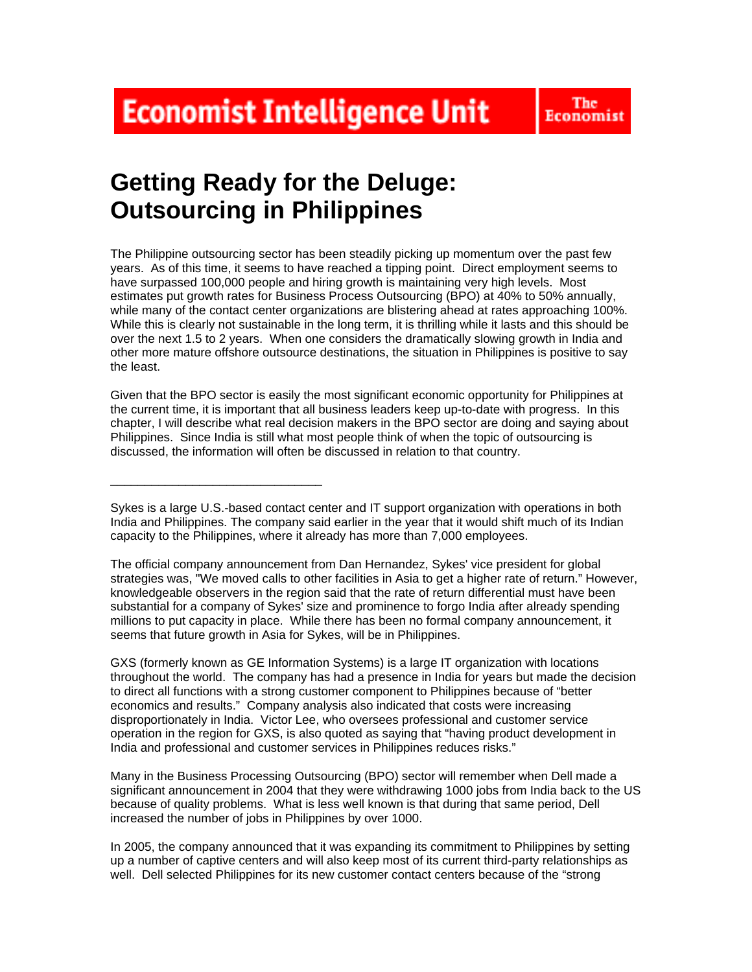**Economist Intelligence Unit** 

# **Getting Ready for the Deluge: Outsourcing in Philippines**

\_\_\_\_\_\_\_\_\_\_\_\_\_\_\_\_\_\_\_\_\_\_\_\_\_\_\_\_\_\_\_

The Philippine outsourcing sector has been steadily picking up momentum over the past few years. As of this time, it seems to have reached a tipping point. Direct employment seems to have surpassed 100,000 people and hiring growth is maintaining very high levels. Most estimates put growth rates for Business Process Outsourcing (BPO) at 40% to 50% annually, while many of the contact center organizations are blistering ahead at rates approaching 100%. While this is clearly not sustainable in the long term, it is thrilling while it lasts and this should be over the next 1.5 to 2 years. When one considers the dramatically slowing growth in India and other more mature offshore outsource destinations, the situation in Philippines is positive to say the least.

Given that the BPO sector is easily the most significant economic opportunity for Philippines at the current time, it is important that all business leaders keep up-to-date with progress. In this chapter, I will describe what real decision makers in the BPO sector are doing and saying about Philippines. Since India is still what most people think of when the topic of outsourcing is discussed, the information will often be discussed in relation to that country.

The official company announcement from Dan Hernandez, Sykes' vice president for global strategies was, "We moved calls to other facilities in Asia to get a higher rate of return." However, knowledgeable observers in the region said that the rate of return differential must have been substantial for a company of Sykes' size and prominence to forgo India after already spending millions to put capacity in place. While there has been no formal company announcement, it seems that future growth in Asia for Sykes, will be in Philippines.

GXS (formerly known as GE Information Systems) is a large IT organization with locations throughout the world. The company has had a presence in India for years but made the decision to direct all functions with a strong customer component to Philippines because of "better economics and results." Company analysis also indicated that costs were increasing disproportionately in India. Victor Lee, who oversees professional and customer service operation in the region for GXS, is also quoted as saying that "having product development in India and professional and customer services in Philippines reduces risks."

Many in the Business Processing Outsourcing (BPO) sector will remember when Dell made a significant announcement in 2004 that they were withdrawing 1000 jobs from India back to the US because of quality problems. What is less well known is that during that same period, Dell increased the number of jobs in Philippines by over 1000.

In 2005, the company announced that it was expanding its commitment to Philippines by setting up a number of captive centers and will also keep most of its current third-party relationships as well. Dell selected Philippines for its new customer contact centers because of the "strong

Sykes is a large U.S.-based contact center and IT support organization with operations in both India and Philippines. The company said earlier in the year that it would shift much of its Indian capacity to the Philippines, where it already has more than 7,000 employees.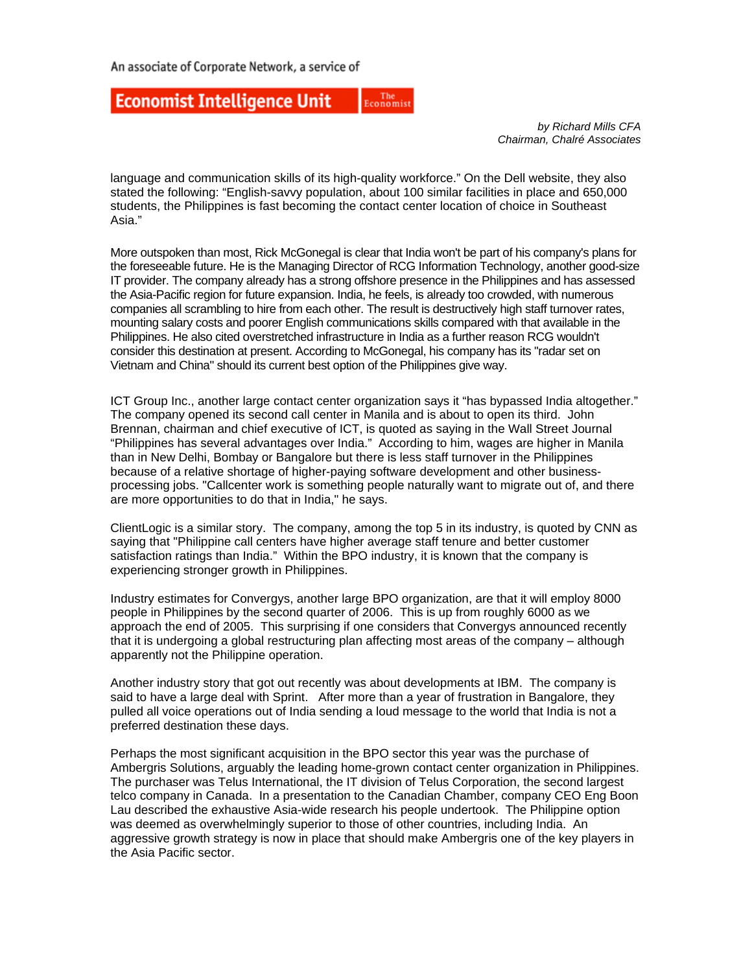#### The<br>Economist **Economist Intelligence Unit**

*by Richard Mills CFA Chairman, Chalré Associates* 

language and communication skills of its high-quality workforce." On the Dell website, they also stated the following: "English-savvy population, about 100 similar facilities in place and 650,000 students, the Philippines is fast becoming the contact center location of choice in Southeast Asia."

More outspoken than most, Rick McGonegal is clear that India won't be part of his company's plans for the foreseeable future. He is the Managing Director of RCG Information Technology, another good-size IT provider. The company already has a strong offshore presence in the Philippines and has assessed the Asia-Pacific region for future expansion. India, he feels, is already too crowded, with numerous companies all scrambling to hire from each other. The result is destructively high staff turnover rates, mounting salary costs and poorer English communications skills compared with that available in the Philippines. He also cited overstretched infrastructure in India as a further reason RCG wouldn't consider this destination at present. According to McGonegal, his company has its "radar set on Vietnam and China" should its current best option of the Philippines give way.

ICT Group Inc., another large contact center organization says it "has bypassed India altogether." The company opened its second call center in Manila and is about to open its third. John Brennan, chairman and chief executive of ICT, is quoted as saying in the Wall Street Journal "Philippines has several advantages over India." According to him, wages are higher in Manila than in New Delhi, Bombay or Bangalore but there is less staff turnover in the Philippines because of a relative shortage of higher-paying software development and other businessprocessing jobs. "Callcenter work is something people naturally want to migrate out of, and there are more opportunities to do that in India," he says.

ClientLogic is a similar story. The company, among the top 5 in its industry, is quoted by CNN as saying that "Philippine call centers have higher average staff tenure and better customer satisfaction ratings than India." Within the BPO industry, it is known that the company is experiencing stronger growth in Philippines.

Industry estimates for Convergys, another large BPO organization, are that it will employ 8000 people in Philippines by the second quarter of 2006. This is up from roughly 6000 as we approach the end of 2005. This surprising if one considers that Convergys announced recently that it is undergoing a global restructuring plan affecting most areas of the company – although apparently not the Philippine operation.

Another industry story that got out recently was about developments at IBM. The company is said to have a large deal with Sprint. After more than a year of frustration in Bangalore, they pulled all voice operations out of India sending a loud message to the world that India is not a preferred destination these days.

Perhaps the most significant acquisition in the BPO sector this year was the purchase of Ambergris Solutions, arguably the leading home-grown contact center organization in Philippines. The purchaser was Telus International, the IT division of Telus Corporation, the second largest telco company in Canada. In a presentation to the Canadian Chamber, company CEO Eng Boon Lau described the exhaustive Asia-wide research his people undertook. The Philippine option was deemed as overwhelmingly superior to those of other countries, including India. An aggressive growth strategy is now in place that should make Ambergris one of the key players in the Asia Pacific sector.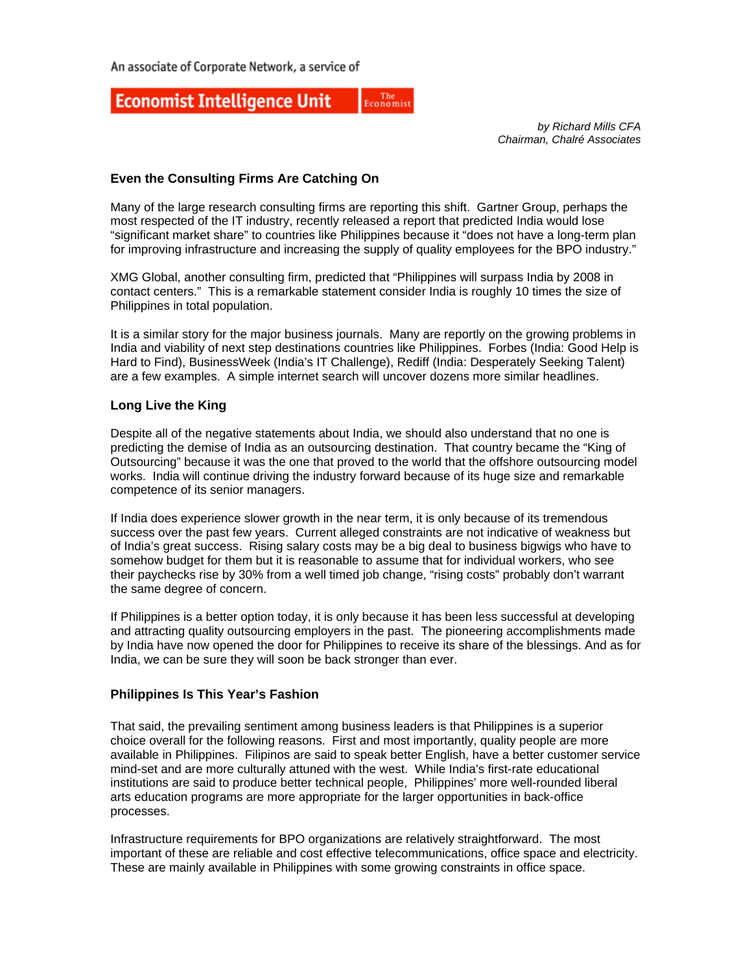#### The<br>Economist **Economist Intelligence Unit**

*by Richard Mills CFA Chairman, Chalré Associates* 

# **Even the Consulting Firms Are Catching On**

Many of the large research consulting firms are reporting this shift. Gartner Group, perhaps the most respected of the IT industry, recently released a report that predicted India would lose "significant market share" to countries like Philippines because it "does not have a long-term plan for improving infrastructure and increasing the supply of quality employees for the BPO industry."

XMG Global, another consulting firm, predicted that "Philippines will surpass India by 2008 in contact centers." This is a remarkable statement consider India is roughly 10 times the size of Philippines in total population.

It is a similar story for the major business journals. Many are reportly on the growing problems in India and viability of next step destinations countries like Philippines. Forbes (India: Good Help is Hard to Find), BusinessWeek (India's IT Challenge), Rediff (India: Desperately Seeking Talent) are a few examples. A simple internet search will uncover dozens more similar headlines.

# **Long Live the King**

Despite all of the negative statements about India, we should also understand that no one is predicting the demise of India as an outsourcing destination. That country became the "King of Outsourcing" because it was the one that proved to the world that the offshore outsourcing model works. India will continue driving the industry forward because of its huge size and remarkable competence of its senior managers.

If India does experience slower growth in the near term, it is only because of its tremendous success over the past few years. Current alleged constraints are not indicative of weakness but of India's great success. Rising salary costs may be a big deal to business bigwigs who have to somehow budget for them but it is reasonable to assume that for individual workers, who see their paychecks rise by 30% from a well timed job change, "rising costs" probably don't warrant the same degree of concern.

If Philippines is a better option today, it is only because it has been less successful at developing and attracting quality outsourcing employers in the past. The pioneering accomplishments made by India have now opened the door for Philippines to receive its share of the blessings. And as for India, we can be sure they will soon be back stronger than ever.

## **Philippines Is This Year's Fashion**

That said, the prevailing sentiment among business leaders is that Philippines is a superior choice overall for the following reasons. First and most importantly, quality people are more available in Philippines. Filipinos are said to speak better English, have a better customer service mind-set and are more culturally attuned with the west. While India's first-rate educational institutions are said to produce better technical people, Philippines' more well-rounded liberal arts education programs are more appropriate for the larger opportunities in back-office processes.

Infrastructure requirements for BPO organizations are relatively straightforward. The most important of these are reliable and cost effective telecommunications, office space and electricity. These are mainly available in Philippines with some growing constraints in office space.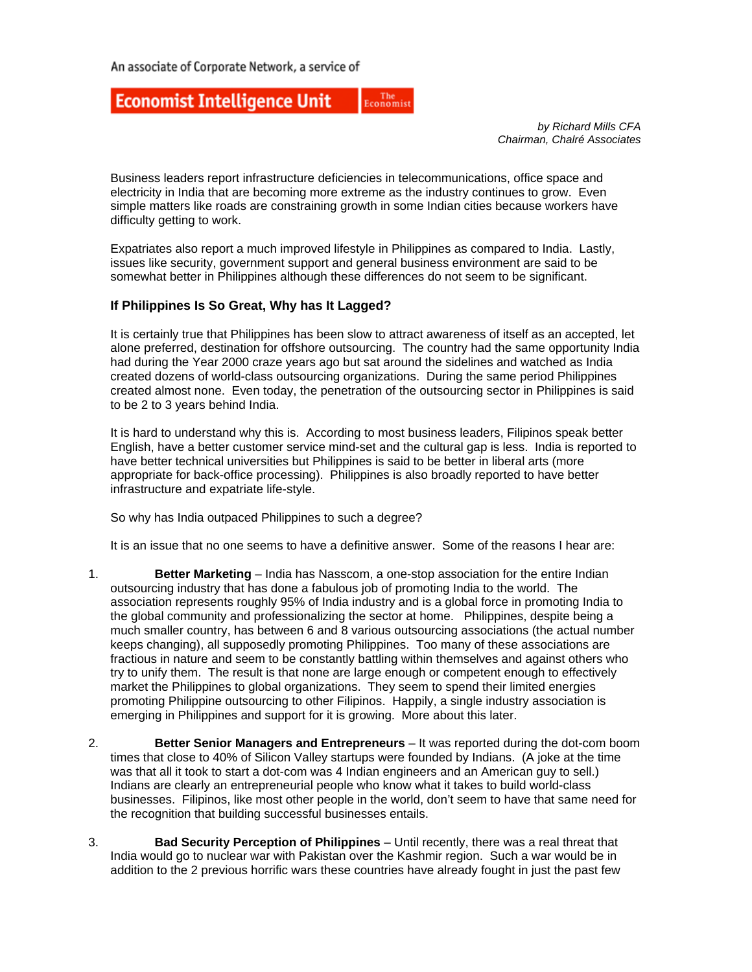#### The<br>Economist **Economist Intelligence Unit**

*by Richard Mills CFA Chairman, Chalré Associates* 

Business leaders report infrastructure deficiencies in telecommunications, office space and electricity in India that are becoming more extreme as the industry continues to grow. Even simple matters like roads are constraining growth in some Indian cities because workers have difficulty getting to work.

Expatriates also report a much improved lifestyle in Philippines as compared to India. Lastly, issues like security, government support and general business environment are said to be somewhat better in Philippines although these differences do not seem to be significant.

## **If Philippines Is So Great, Why has It Lagged?**

It is certainly true that Philippines has been slow to attract awareness of itself as an accepted, let alone preferred, destination for offshore outsourcing. The country had the same opportunity India had during the Year 2000 craze years ago but sat around the sidelines and watched as India created dozens of world-class outsourcing organizations. During the same period Philippines created almost none. Even today, the penetration of the outsourcing sector in Philippines is said to be 2 to 3 years behind India.

It is hard to understand why this is. According to most business leaders, Filipinos speak better English, have a better customer service mind-set and the cultural gap is less. India is reported to have better technical universities but Philippines is said to be better in liberal arts (more appropriate for back-office processing). Philippines is also broadly reported to have better infrastructure and expatriate life-style.

So why has India outpaced Philippines to such a degree?

It is an issue that no one seems to have a definitive answer. Some of the reasons I hear are:

- 1. **Better Marketing** India has Nasscom, a one-stop association for the entire Indian outsourcing industry that has done a fabulous job of promoting India to the world. The association represents roughly 95% of India industry and is a global force in promoting India to the global community and professionalizing the sector at home. Philippines, despite being a much smaller country, has between 6 and 8 various outsourcing associations (the actual number keeps changing), all supposedly promoting Philippines. Too many of these associations are fractious in nature and seem to be constantly battling within themselves and against others who try to unify them. The result is that none are large enough or competent enough to effectively market the Philippines to global organizations. They seem to spend their limited energies promoting Philippine outsourcing to other Filipinos. Happily, a single industry association is emerging in Philippines and support for it is growing. More about this later.
- 2. **Better Senior Managers and Entrepreneurs** It was reported during the dot-com boom times that close to 40% of Silicon Valley startups were founded by Indians. (A joke at the time was that all it took to start a dot-com was 4 Indian engineers and an American guy to sell.) Indians are clearly an entrepreneurial people who know what it takes to build world-class businesses. Filipinos, like most other people in the world, don't seem to have that same need for the recognition that building successful businesses entails.
- 3. **Bad Security Perception of Philippines** Until recently, there was a real threat that India would go to nuclear war with Pakistan over the Kashmir region. Such a war would be in addition to the 2 previous horrific wars these countries have already fought in just the past few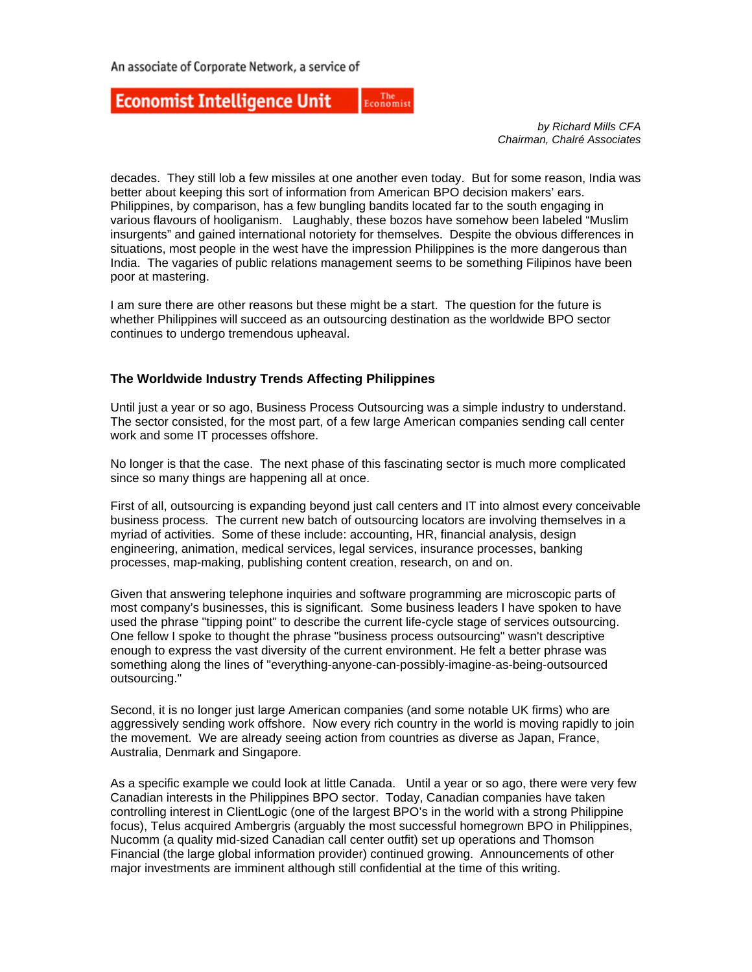#### The<br>Economist **Economist Intelligence Unit**

*by Richard Mills CFA Chairman, Chalré Associates* 

decades. They still lob a few missiles at one another even today. But for some reason, India was better about keeping this sort of information from American BPO decision makers' ears. Philippines, by comparison, has a few bungling bandits located far to the south engaging in various flavours of hooliganism. Laughably, these bozos have somehow been labeled "Muslim insurgents" and gained international notoriety for themselves. Despite the obvious differences in situations, most people in the west have the impression Philippines is the more dangerous than India. The vagaries of public relations management seems to be something Filipinos have been poor at mastering.

I am sure there are other reasons but these might be a start. The question for the future is whether Philippines will succeed as an outsourcing destination as the worldwide BPO sector continues to undergo tremendous upheaval.

## **The Worldwide Industry Trends Affecting Philippines**

Until just a year or so ago, Business Process Outsourcing was a simple industry to understand. The sector consisted, for the most part, of a few large American companies sending call center work and some IT processes offshore.

No longer is that the case. The next phase of this fascinating sector is much more complicated since so many things are happening all at once.

First of all, outsourcing is expanding beyond just call centers and IT into almost every conceivable business process. The current new batch of outsourcing locators are involving themselves in a myriad of activities. Some of these include: accounting, HR, financial analysis, design engineering, animation, medical services, legal services, insurance processes, banking processes, map-making, publishing content creation, research, on and on.

Given that answering telephone inquiries and software programming are microscopic parts of most company's businesses, this is significant. Some business leaders I have spoken to have used the phrase "tipping point" to describe the current life-cycle stage of services outsourcing. One fellow I spoke to thought the phrase "business process outsourcing" wasn't descriptive enough to express the vast diversity of the current environment. He felt a better phrase was something along the lines of "everything-anyone-can-possibly-imagine-as-being-outsourced outsourcing."

Second, it is no longer just large American companies (and some notable UK firms) who are aggressively sending work offshore. Now every rich country in the world is moving rapidly to join the movement. We are already seeing action from countries as diverse as Japan, France, Australia, Denmark and Singapore.

As a specific example we could look at little Canada. Until a year or so ago, there were very few Canadian interests in the Philippines BPO sector. Today, Canadian companies have taken controlling interest in ClientLogic (one of the largest BPO's in the world with a strong Philippine focus), Telus acquired Ambergris (arguably the most successful homegrown BPO in Philippines, Nucomm (a quality mid-sized Canadian call center outfit) set up operations and Thomson Financial (the large global information provider) continued growing. Announcements of other major investments are imminent although still confidential at the time of this writing.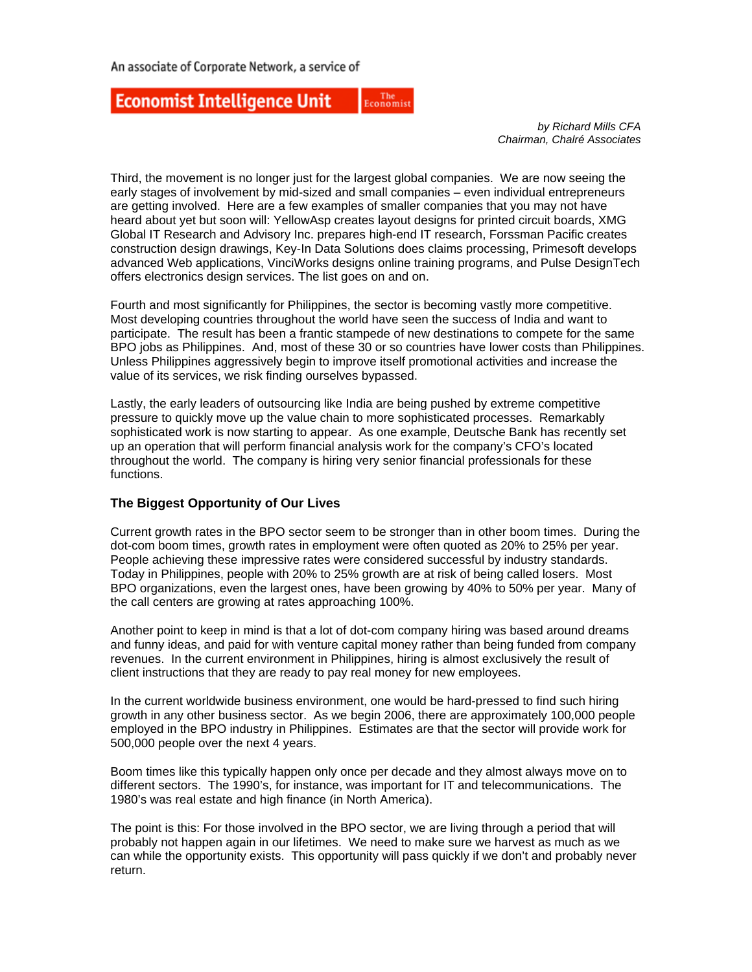#### The<br>Economist **Economist Intelligence Unit**

*by Richard Mills CFA Chairman, Chalré Associates* 

Third, the movement is no longer just for the largest global companies. We are now seeing the early stages of involvement by mid-sized and small companies – even individual entrepreneurs are getting involved. Here are a few examples of smaller companies that you may not have heard about yet but soon will: YellowAsp creates layout designs for printed circuit boards, XMG Global IT Research and Advisory Inc. prepares high-end IT research, Forssman Pacific creates construction design drawings, Key-In Data Solutions does claims processing, Primesoft develops advanced Web applications, VinciWorks designs online training programs, and Pulse DesignTech offers electronics design services. The list goes on and on.

Fourth and most significantly for Philippines, the sector is becoming vastly more competitive. Most developing countries throughout the world have seen the success of India and want to participate. The result has been a frantic stampede of new destinations to compete for the same BPO jobs as Philippines. And, most of these 30 or so countries have lower costs than Philippines. Unless Philippines aggressively begin to improve itself promotional activities and increase the value of its services, we risk finding ourselves bypassed.

Lastly, the early leaders of outsourcing like India are being pushed by extreme competitive pressure to quickly move up the value chain to more sophisticated processes. Remarkably sophisticated work is now starting to appear. As one example, Deutsche Bank has recently set up an operation that will perform financial analysis work for the company's CFO's located throughout the world. The company is hiring very senior financial professionals for these functions.

# **The Biggest Opportunity of Our Lives**

Current growth rates in the BPO sector seem to be stronger than in other boom times. During the dot-com boom times, growth rates in employment were often quoted as 20% to 25% per year. People achieving these impressive rates were considered successful by industry standards. Today in Philippines, people with 20% to 25% growth are at risk of being called losers. Most BPO organizations, even the largest ones, have been growing by 40% to 50% per year. Many of the call centers are growing at rates approaching 100%.

Another point to keep in mind is that a lot of dot-com company hiring was based around dreams and funny ideas, and paid for with venture capital money rather than being funded from company revenues. In the current environment in Philippines, hiring is almost exclusively the result of client instructions that they are ready to pay real money for new employees.

In the current worldwide business environment, one would be hard-pressed to find such hiring growth in any other business sector. As we begin 2006, there are approximately 100,000 people employed in the BPO industry in Philippines. Estimates are that the sector will provide work for 500,000 people over the next 4 years.

Boom times like this typically happen only once per decade and they almost always move on to different sectors. The 1990's, for instance, was important for IT and telecommunications. The 1980's was real estate and high finance (in North America).

The point is this: For those involved in the BPO sector, we are living through a period that will probably not happen again in our lifetimes. We need to make sure we harvest as much as we can while the opportunity exists. This opportunity will pass quickly if we don't and probably never return.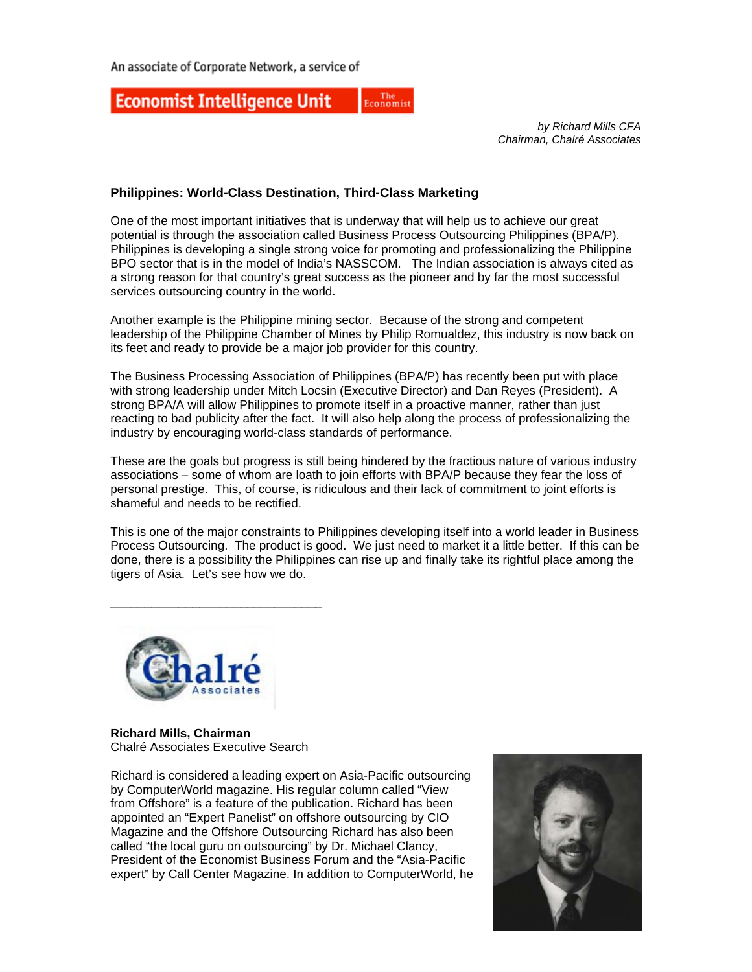#### **Economist Intelligence Unit** The<br>Economist

*by Richard Mills CFA Chairman, Chalré Associates* 

## **Philippines: World-Class Destination, Third-Class Marketing**

One of the most important initiatives that is underway that will help us to achieve our great potential is through the association called Business Process Outsourcing Philippines (BPA/P). Philippines is developing a single strong voice for promoting and professionalizing the Philippine BPO sector that is in the model of India's NASSCOM. The Indian association is always cited as a strong reason for that country's great success as the pioneer and by far the most successful services outsourcing country in the world.

Another example is the Philippine mining sector. Because of the strong and competent leadership of the Philippine Chamber of Mines by Philip Romualdez, this industry is now back on its feet and ready to provide be a major job provider for this country.

The Business Processing Association of Philippines (BPA/P) has recently been put with place with strong leadership under Mitch Locsin (Executive Director) and Dan Reyes (President). A strong BPA/A will allow Philippines to promote itself in a proactive manner, rather than just reacting to bad publicity after the fact. It will also help along the process of professionalizing the industry by encouraging world-class standards of performance.

These are the goals but progress is still being hindered by the fractious nature of various industry associations – some of whom are loath to join efforts with BPA/P because they fear the loss of personal prestige. This, of course, is ridiculous and their lack of commitment to joint efforts is shameful and needs to be rectified.

This is one of the major constraints to Philippines developing itself into a world leader in Business Process Outsourcing. The product is good. We just need to market it a little better. If this can be done, there is a possibility the Philippines can rise up and finally take its rightful place among the tigers of Asia. Let's see how we do.



\_\_\_\_\_\_\_\_\_\_\_\_\_\_\_\_\_\_\_\_\_\_\_\_\_\_\_\_\_\_\_

**Richard Mills, Chairman**  Chalré Associates Executive Search

Richard is considered a leading expert on Asia-Pacific outsourcing by ComputerWorld magazine. His regular column called "View from Offshore" is a feature of the publication. Richard has been appointed an "Expert Panelist" on offshore outsourcing by CIO Magazine and the Offshore Outsourcing Richard has also been called "the local guru on outsourcing" by Dr. Michael Clancy, President of the Economist Business Forum and the "Asia-Pacific expert" by Call Center Magazine. In addition to ComputerWorld, he